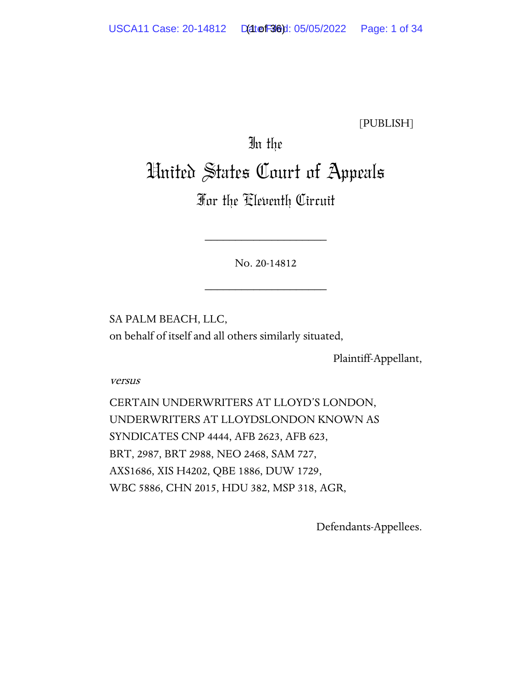[PUBLISH]

# In the

# United States Court of Appeals

# For the Eleventh Circuit

No. 20-14812

\_\_\_\_\_\_\_\_\_\_\_\_\_\_\_\_\_\_\_\_

\_\_\_\_\_\_\_\_\_\_\_\_\_\_\_\_\_\_\_\_

SA PALM BEACH, LLC, on behalf of itself and all others similarly situated,

Plaintiff-Appellant,

versus

CERTAIN UNDERWRITERS AT LLOYD'S LONDON, UNDERWRITERS AT LLOYDSLONDON KNOWN AS SYNDICATES CNP 4444, AFB 2623, AFB 623, BRT, 2987, BRT 2988, NEO 2468, SAM 727, AXS1686, XIS H4202, QBE 1886, DUW 1729, WBC 5886, CHN 2015, HDU 382, MSP 318, AGR,

Defendants-Appellees.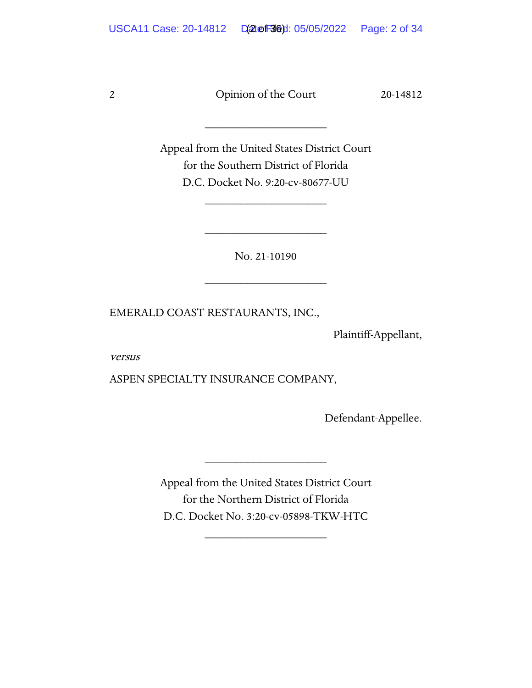\_\_\_\_\_\_\_\_\_\_\_\_\_\_\_\_\_\_\_\_

Appeal from the United States District Court for the Southern District of Florida D.C. Docket No. 9:20-cv-80677-UU

\_\_\_\_\_\_\_\_\_\_\_\_\_\_\_\_\_\_\_\_

No. 21-10190

\_\_\_\_\_\_\_\_\_\_\_\_\_\_\_\_\_\_\_\_

\_\_\_\_\_\_\_\_\_\_\_\_\_\_\_\_\_\_\_\_

EMERALD COAST RESTAURANTS, INC.,

Plaintiff-Appellant,

versus

ASPEN SPECIALTY INSURANCE COMPANY,

Defendant-Appellee.

Appeal from the United States District Court for the Northern District of Florida D.C. Docket No. 3:20-cv-05898-TKW-HTC

\_\_\_\_\_\_\_\_\_\_\_\_\_\_\_\_\_\_\_\_

\_\_\_\_\_\_\_\_\_\_\_\_\_\_\_\_\_\_\_\_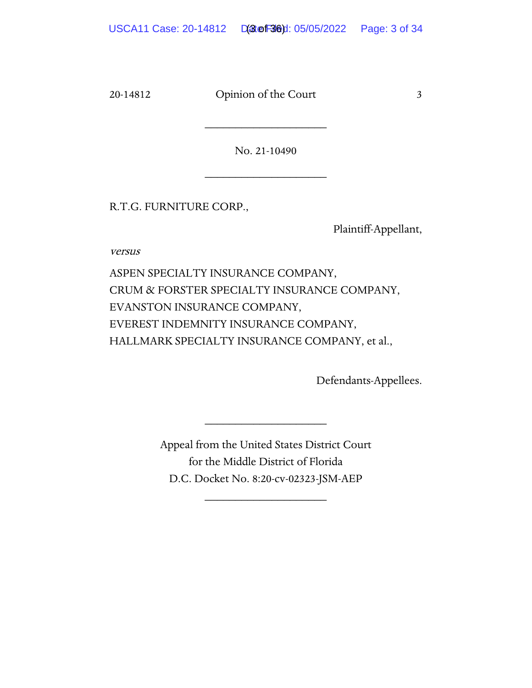No. 21-10490

\_\_\_\_\_\_\_\_\_\_\_\_\_\_\_\_\_\_\_\_

\_\_\_\_\_\_\_\_\_\_\_\_\_\_\_\_\_\_\_\_

R.T.G. FURNITURE CORP.,

Plaintiff-Appellant,

versus

ASPEN SPECIALTY INSURANCE COMPANY, CRUM & FORSTER SPECIALTY INSURANCE COMPANY, EVANSTON INSURANCE COMPANY, EVEREST INDEMNITY INSURANCE COMPANY, HALLMARK SPECIALTY INSURANCE COMPANY, et al.,

Defendants-Appellees.

Appeal from the United States District Court for the Middle District of Florida D.C. Docket No. 8:20-cv-02323-JSM-AEP

\_\_\_\_\_\_\_\_\_\_\_\_\_\_\_\_\_\_\_\_

\_\_\_\_\_\_\_\_\_\_\_\_\_\_\_\_\_\_\_\_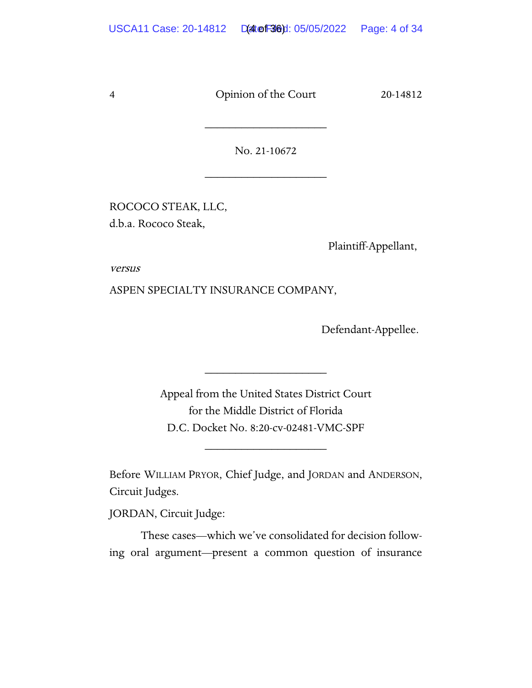No. 21-10672

\_\_\_\_\_\_\_\_\_\_\_\_\_\_\_\_\_\_\_\_

\_\_\_\_\_\_\_\_\_\_\_\_\_\_\_\_\_\_\_\_

ROCOCO STEAK, LLC, d.b.a. Rococo Steak,

Plaintiff-Appellant,

versus

ASPEN SPECIALTY INSURANCE COMPANY,

Defendant-Appellee.

Appeal from the United States District Court for the Middle District of Florida D.C. Docket No. 8:20-cv-02481-VMC-SPF

\_\_\_\_\_\_\_\_\_\_\_\_\_\_\_\_\_\_\_\_

Before WILLIAM PRYOR, Chief Judge, and JORDAN and ANDERSON, Circuit Judges.

\_\_\_\_\_\_\_\_\_\_\_\_\_\_\_\_\_\_\_\_

JORDAN, Circuit Judge:

These cases—which we've consolidated for decision following oral argument—present a common question of insurance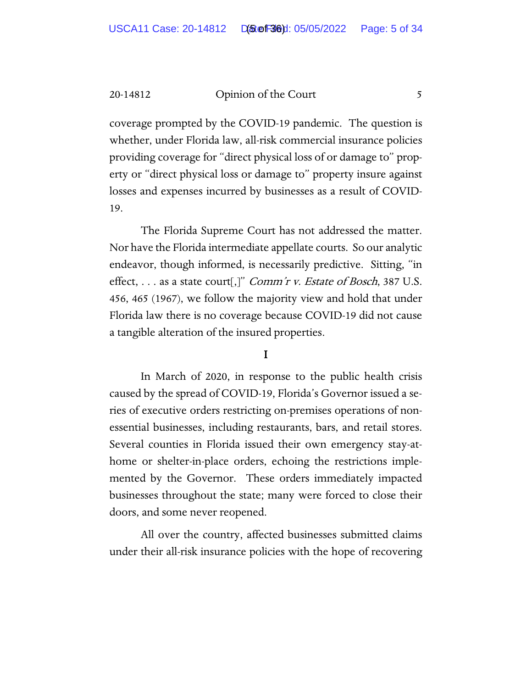coverage prompted by the COVID-19 pandemic. The question is whether, under Florida law, all-risk commercial insurance policies providing coverage for "direct physical loss of or damage to" property or "direct physical loss or damage to" property insure against losses and expenses incurred by businesses as a result of COVID-19.

The Florida Supreme Court has not addressed the matter. Nor have the Florida intermediate appellate courts. So our analytic endeavor, though informed, is necessarily predictive. Sitting, "in effect,  $\dots$  as a state court[,]" *Comm'r v. Estate of Bosch*, 387 U.S. 456, 465 (1967), we follow the majority view and hold that under Florida law there is no coverage because COVID-19 did not cause a tangible alteration of the insured properties.

#### I

In March of 2020, in response to the public health crisis caused by the spread of COVID-19, Florida's Governor issued a series of executive orders restricting on-premises operations of nonessential businesses, including restaurants, bars, and retail stores. Several counties in Florida issued their own emergency stay-athome or shelter-in-place orders, echoing the restrictions implemented by the Governor. These orders immediately impacted businesses throughout the state; many were forced to close their doors, and some never reopened.

All over the country, affected businesses submitted claims under their all-risk insurance policies with the hope of recovering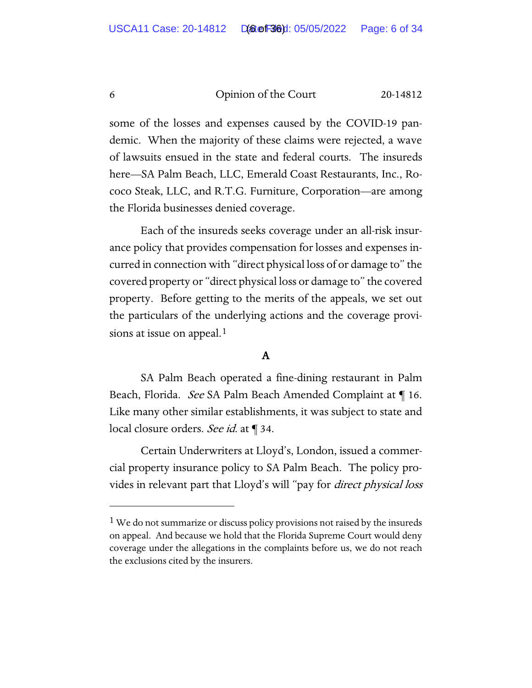some of the losses and expenses caused by the COVID-19 pandemic. When the majority of these claims were rejected, a wave of lawsuits ensued in the state and federal courts. The insureds here—SA Palm Beach, LLC, Emerald Coast Restaurants, Inc., Rococo Steak, LLC, and R.T.G. Furniture, Corporation—are among the Florida businesses denied coverage.

Each of the insureds seeks coverage under an all-risk insurance policy that provides compensation for losses and expenses incurred in connection with "direct physical loss of or damage to" the covered property or "direct physical loss or damage to" the covered property. Before getting to the merits of the appeals, we set out the particulars of the underlying actions and the coverage provi-sions at issue on appeal.<sup>[1](#page-26-0)</sup>

# A

SA Palm Beach operated a fine-dining restaurant in Palm Beach, Florida. See SA Palm Beach Amended Complaint at 16. Like many other similar establishments, it was subject to state and local closure orders. See id. at ¶ 34.

Certain Underwriters at Lloyd's, London, issued a commercial property insurance policy to SA Palm Beach. The policy provides in relevant part that Lloyd's will "pay for *direct physical loss* 

<sup>&</sup>lt;sup>1</sup> We do not summarize or discuss policy provisions not raised by the insureds on appeal. And because we hold that the Florida Supreme Court would deny coverage under the allegations in the complaints before us, we do not reach the exclusions cited by the insurers.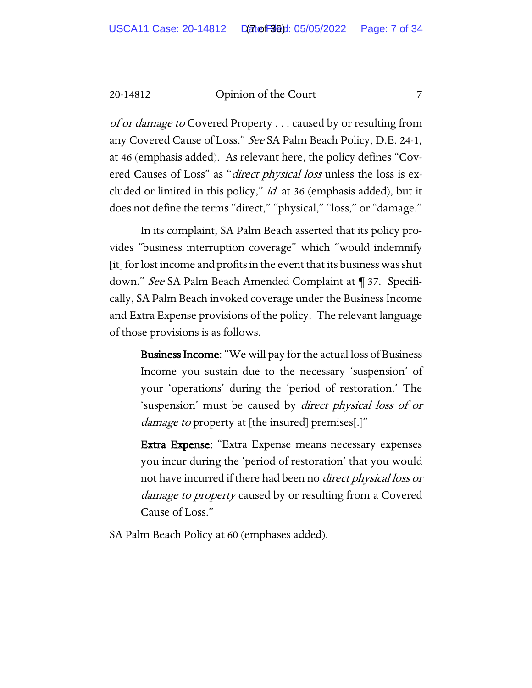of or damage to Covered Property . . . caused by or resulting from any Covered Cause of Loss." See SA Palm Beach Policy, D.E. 24-1, at 46 (emphasis added). As relevant here, the policy defines "Covered Causes of Loss" as "direct physical loss unless the loss is excluded or limited in this policy," id. at 36 (emphasis added), but it does not define the terms "direct," "physical," "loss," or "damage."

In its complaint, SA Palm Beach asserted that its policy provides "business interruption coverage" which "would indemnify [it] for lost income and profits in the event that its business was shut down." See SA Palm Beach Amended Complaint at ¶ 37. Specifically, SA Palm Beach invoked coverage under the Business Income and Extra Expense provisions of the policy. The relevant language of those provisions is as follows.

> Business Income: "We will pay for the actual loss of Business Income you sustain due to the necessary 'suspension' of your 'operations' during the 'period of restoration.' The 'suspension' must be caused by direct physical loss of or damage to property at [the insured] premises[.]"

> Extra Expense: "Extra Expense means necessary expenses you incur during the 'period of restoration' that you would not have incurred if there had been no direct physical loss or damage to property caused by or resulting from a Covered Cause of Loss."

SA Palm Beach Policy at 60 (emphases added).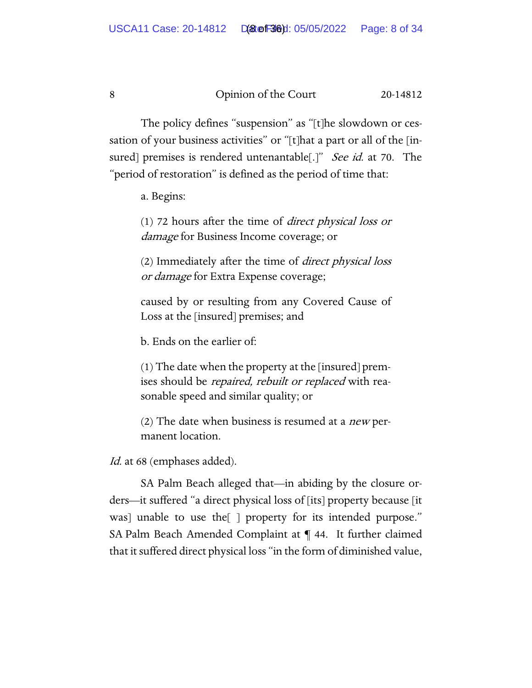The policy defines "suspension" as "[t]he slowdown or cessation of your business activities" or "[t]hat a part or all of the [insured] premises is rendered untenantable[.]" See id. at 70. The "period of restoration" is defined as the period of time that:

a. Begins:

(1) 72 hours after the time of direct physical loss or damage for Business Income coverage; or

(2) Immediately after the time of direct physical loss *or damage* for Extra Expense coverage;

caused by or resulting from any Covered Cause of Loss at the [insured] premises; and

b. Ends on the earlier of:

(1) The date when the property at the [insured] premises should be *repaired, rebuilt or replaced* with reasonable speed and similar quality; or

(2) The date when business is resumed at a *new* permanent location.

Id. at 68 (emphases added).

SA Palm Beach alleged that—in abiding by the closure orders—it suffered "a direct physical loss of [its] property because [it was] unable to use the[ ] property for its intended purpose." SA Palm Beach Amended Complaint at ¶ 44. It further claimed that it suffered direct physical loss "in the form of diminished value,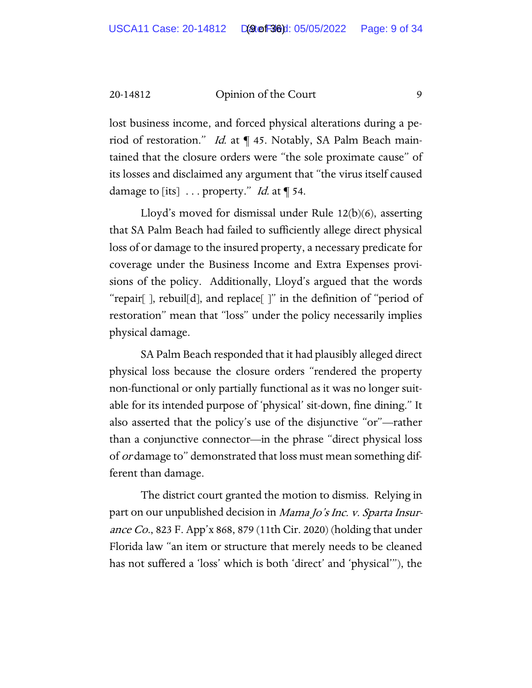lost business income, and forced physical alterations during a period of restoration." Id. at ¶ 45. Notably, SA Palm Beach maintained that the closure orders were "the sole proximate cause" of its losses and disclaimed any argument that "the virus itself caused damage to [its]  $\dots$  property." *Id.* at  $\P$  54.

Lloyd's moved for dismissal under Rule 12(b)(6), asserting that SA Palm Beach had failed to sufficiently allege direct physical loss of or damage to the insured property, a necessary predicate for coverage under the Business Income and Extra Expenses provisions of the policy. Additionally, Lloyd's argued that the words "repair[ ], rebuil[d], and replace[ ]" in the definition of "period of restoration" mean that "loss" under the policy necessarily implies physical damage.

SA Palm Beach responded that it had plausibly alleged direct physical loss because the closure orders "rendered the property non-functional or only partially functional as it was no longer suitable for its intended purpose of 'physical' sit-down, fine dining." It also asserted that the policy's use of the disjunctive "or"—rather than a conjunctive connector—in the phrase "direct physical loss of *or* damage to" demonstrated that loss must mean something different than damage.

The district court granted the motion to dismiss. Relying in part on our unpublished decision in *Mama Jo's Inc. v. Sparta Insur*ance Co., 823 F. App'x 868, 879 (11th Cir. 2020) (holding that under Florida law "an item or structure that merely needs to be cleaned has not suffered a 'loss' which is both 'direct' and 'physical'"), the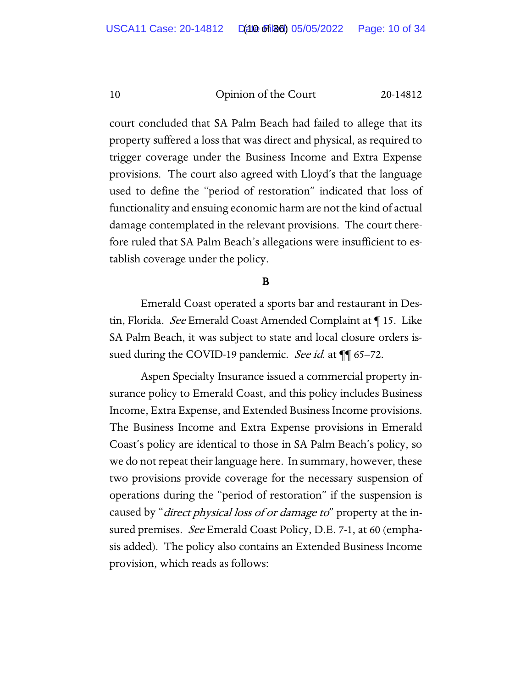court concluded that SA Palm Beach had failed to allege that its property suffered a loss that was direct and physical, as required to trigger coverage under the Business Income and Extra Expense provisions. The court also agreed with Lloyd's that the language used to define the "period of restoration" indicated that loss of functionality and ensuing economic harm are not the kind of actual damage contemplated in the relevant provisions. The court therefore ruled that SA Palm Beach's allegations were insufficient to establish coverage under the policy.

# B

 Emerald Coast operated a sports bar and restaurant in Destin, Florida. See Emerald Coast Amended Complaint at ¶ 15. Like SA Palm Beach, it was subject to state and local closure orders issued during the COVID-19 pandemic. See id. at  $\P$  65–72.

Aspen Specialty Insurance issued a commercial property insurance policy to Emerald Coast, and this policy includes Business Income, Extra Expense, and Extended Business Income provisions. The Business Income and Extra Expense provisions in Emerald Coast's policy are identical to those in SA Palm Beach's policy, so we do not repeat their language here. In summary, however, these two provisions provide coverage for the necessary suspension of operations during the "period of restoration" if the suspension is caused by "*direct physical loss of or damage to*" property at the insured premises. See Emerald Coast Policy, D.E. 7-1, at 60 (emphasis added). The policy also contains an Extended Business Income provision, which reads as follows: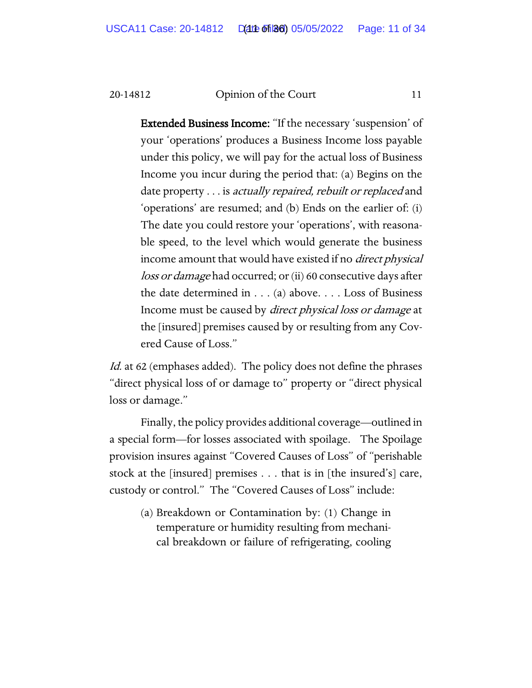Extended Business Income: "If the necessary 'suspension' of your 'operations' produces a Business Income loss payable under this policy, we will pay for the actual loss of Business Income you incur during the period that: (a) Begins on the date property . . . is actually repaired, rebuilt or replaced and 'operations' are resumed; and (b) Ends on the earlier of: (i) The date you could restore your 'operations', with reasonable speed, to the level which would generate the business income amount that would have existed if no direct physical loss or damage had occurred; or (ii) 60 consecutive days after the date determined in . . . (a) above. . . . Loss of Business Income must be caused by direct physical loss or damage at the [insured] premises caused by or resulting from any Covered Cause of Loss."

Id. at 62 (emphases added). The policy does not define the phrases "direct physical loss of or damage to" property or "direct physical loss or damage."

Finally, the policy provides additional coverage—outlined in a special form—for losses associated with spoilage. The Spoilage provision insures against "Covered Causes of Loss" of "perishable stock at the [insured] premises . . . that is in [the insured's] care, custody or control." The "Covered Causes of Loss" include:

(a) Breakdown or Contamination by: (1) Change in temperature or humidity resulting from mechanical breakdown or failure of refrigerating, cooling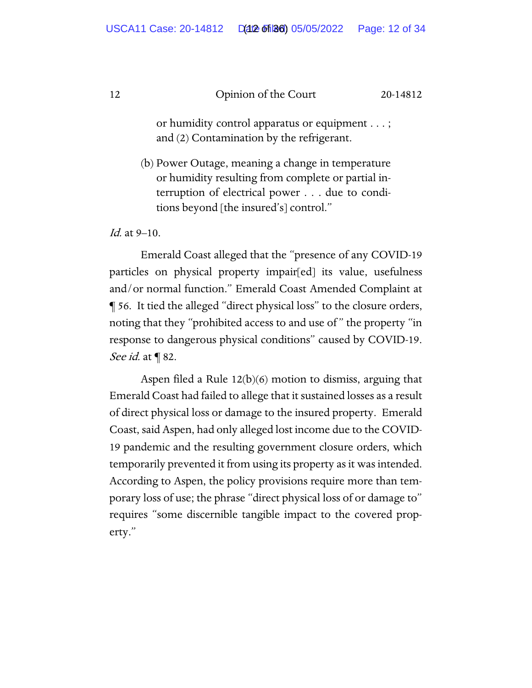or humidity control apparatus or equipment . . . ; and (2) Contamination by the refrigerant.

(b) Power Outage, meaning a change in temperature or humidity resulting from complete or partial interruption of electrical power . . . due to conditions beyond [the insured's] control."

Id. at 9–10.

Emerald Coast alleged that the "presence of any COVID-19 particles on physical property impair[ed] its value, usefulness and/or normal function." Emerald Coast Amended Complaint at ¶ 56. It tied the alleged "direct physical loss" to the closure orders, noting that they "prohibited access to and use of " the property "in response to dangerous physical conditions" caused by COVID-19. See *id.* at ¶ 82.

Aspen filed a Rule 12(b)(6) motion to dismiss, arguing that Emerald Coast had failed to allege that it sustained losses as a result of direct physical loss or damage to the insured property. Emerald Coast, said Aspen, had only alleged lost income due to the COVID-19 pandemic and the resulting government closure orders, which temporarily prevented it from using its property as it was intended. According to Aspen, the policy provisions require more than temporary loss of use; the phrase "direct physical loss of or damage to" requires "some discernible tangible impact to the covered property."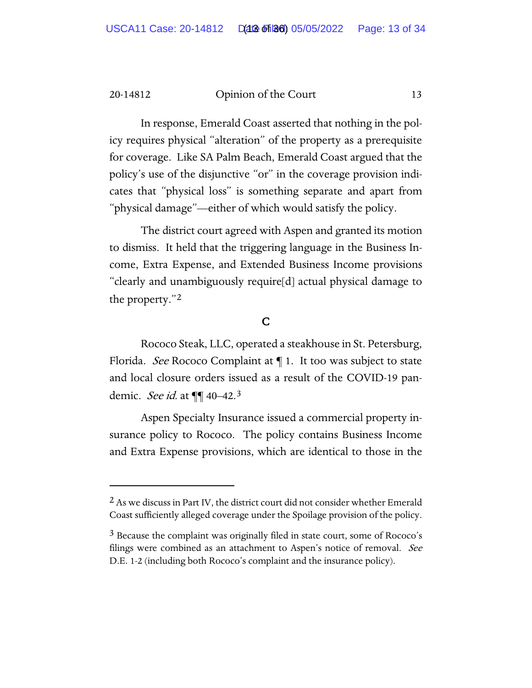In response, Emerald Coast asserted that nothing in the policy requires physical "alteration" of the property as a prerequisite for coverage. Like SA Palm Beach, Emerald Coast argued that the policy's use of the disjunctive "or" in the coverage provision indicates that "physical loss" is something separate and apart from "physical damage"—either of which would satisfy the policy.

The district court agreed with Aspen and granted its motion to dismiss. It held that the triggering language in the Business Income, Extra Expense, and Extended Business Income provisions "clearly and unambiguously require[d] actual physical damage to the property."[2](#page-26-0)

# C

Rococo Steak, LLC, operated a steakhouse in St. Petersburg, Florida. *See* Rococo Complaint at  $\P$  1. It too was subject to state and local closure orders issued as a result of the COVID-19 pandemic. *See id.* at **¶** 40–42.<sup>[3](#page-26-0)</sup>

Aspen Specialty Insurance issued a commercial property insurance policy to Rococo. The policy contains Business Income and Extra Expense provisions, which are identical to those in the

<sup>&</sup>lt;sup>2</sup> As we discuss in Part IV, the district court did not consider whether Emerald Coast sufficiently alleged coverage under the Spoilage provision of the policy.

 $3$  Because the complaint was originally filed in state court, some of Rococo's filings were combined as an attachment to Aspen's notice of removal. See D.E. 1-2 (including both Rococo's complaint and the insurance policy).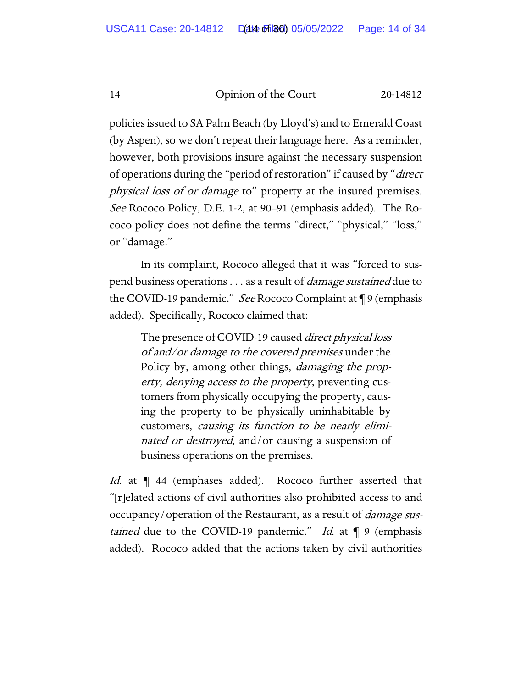policies issued to SA Palm Beach (by Lloyd's) and to Emerald Coast (by Aspen), so we don't repeat their language here. As a reminder, however, both provisions insure against the necessary suspension of operations during the "period of restoration" if caused by "*direct* physical loss of or damage to" property at the insured premises. See Rococo Policy, D.E. 1-2, at 90–91 (emphasis added). The Rococo policy does not define the terms "direct," "physical," "loss," or "damage."

In its complaint, Rococo alleged that it was "forced to suspend business operations . . . as a result of *damage sustained* due to the COVID-19 pandemic." See Rococo Complaint at ¶ 9 (emphasis added). Specifically, Rococo claimed that:

The presence of COVID-19 caused *direct physical loss* of and/or damage to the covered premises under the Policy by, among other things, *damaging the prop*erty, denying access to the property, preventing customers from physically occupying the property, causing the property to be physically uninhabitable by customers, causing its function to be nearly eliminated or destroyed, and/or causing a suspension of business operations on the premises.

Id. at  $\P$  44 (emphases added). Rococo further asserted that "[r]elated actions of civil authorities also prohibited access to and occupancy/operation of the Restaurant, as a result of *damage sus*tained due to the COVID-19 pandemic." Id. at  $\P$  9 (emphasis added). Rococo added that the actions taken by civil authorities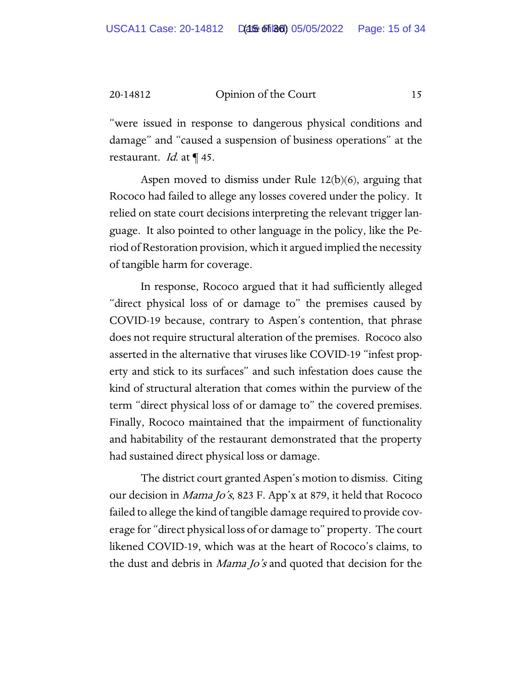"were issued in response to dangerous physical conditions and damage" and "caused a suspension of business operations" at the restaurant. *Id.* at  $\P$  45.

Aspen moved to dismiss under Rule 12(b)(6), arguing that Rococo had failed to allege any losses covered under the policy. It relied on state court decisions interpreting the relevant trigger language. It also pointed to other language in the policy, like the Period of Restoration provision, which it argued implied the necessity of tangible harm for coverage.

In response, Rococo argued that it had sufficiently alleged "direct physical loss of or damage to" the premises caused by COVID-19 because, contrary to Aspen's contention, that phrase does not require structural alteration of the premises. Rococo also asserted in the alternative that viruses like COVID-19 "infest property and stick to its surfaces" and such infestation does cause the kind of structural alteration that comes within the purview of the term "direct physical loss of or damage to" the covered premises. Finally, Rococo maintained that the impairment of functionality and habitability of the restaurant demonstrated that the property had sustained direct physical loss or damage.

The district court granted Aspen's motion to dismiss. Citing our decision in Mama Jo's, 823 F. App'x at 879, it held that Rococo failed to allege the kind of tangible damage required to provide coverage for "direct physical loss of or damage to" property. The court likened COVID-19, which was at the heart of Rococo's claims, to the dust and debris in *Mama Jo's* and quoted that decision for the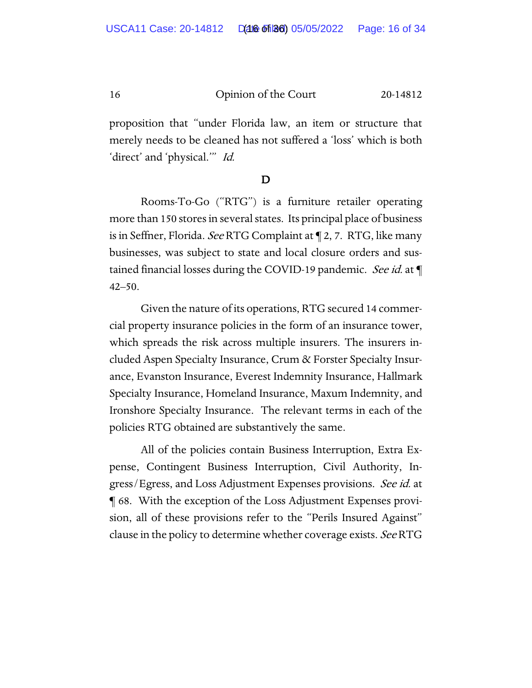proposition that "under Florida law, an item or structure that merely needs to be cleaned has not suffered a 'loss' which is both 'direct' and 'physical.'" Id.

# $\mathbf D$

Rooms-To-Go ("RTG") is a furniture retailer operating more than 150 stores in several states. Its principal place of business is in Seffner, Florida. See RTG Complaint at ¶ 2, 7. RTG, like many businesses, was subject to state and local closure orders and sustained financial losses during the COVID-19 pandemic. See id. at  $\P$ 42–50.

Given the nature of its operations, RTG secured 14 commercial property insurance policies in the form of an insurance tower, which spreads the risk across multiple insurers. The insurers included Aspen Specialty Insurance, Crum & Forster Specialty Insurance, Evanston Insurance, Everest Indemnity Insurance, Hallmark Specialty Insurance, Homeland Insurance, Maxum Indemnity, and Ironshore Specialty Insurance. The relevant terms in each of the policies RTG obtained are substantively the same.

All of the policies contain Business Interruption, Extra Expense, Contingent Business Interruption, Civil Authority, Ingress/Egress, and Loss Adjustment Expenses provisions. See id. at ¶ 68. With the exception of the Loss Adjustment Expenses provision, all of these provisions refer to the "Perils Insured Against" clause in the policy to determine whether coverage exists. See RTG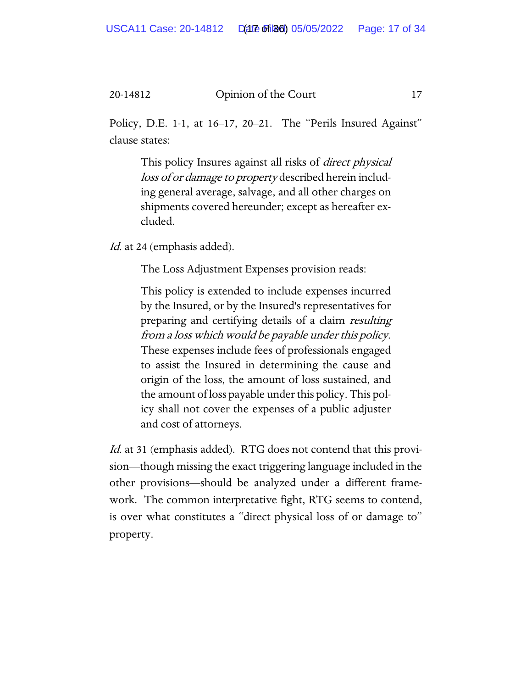Policy, D.E. 1-1, at 16–17, 20–21. The "Perils Insured Against" clause states:

This policy Insures against all risks of *direct physical* loss of or damage to property described herein including general average, salvage, and all other charges on shipments covered hereunder; except as hereafter excluded.

Id. at 24 (emphasis added).

The Loss Adjustment Expenses provision reads:

This policy is extended to include expenses incurred by the Insured, or by the Insured's representatives for preparing and certifying details of a claim resulting from a loss which would be payable under this policy. These expenses include fees of professionals engaged to assist the Insured in determining the cause and origin of the loss, the amount of loss sustained, and the amount of loss payable under this policy. This policy shall not cover the expenses of a public adjuster and cost of attorneys.

Id. at 31 (emphasis added). RTG does not contend that this provision—though missing the exact triggering language included in the other provisions—should be analyzed under a different framework. The common interpretative fight, RTG seems to contend, is over what constitutes a "direct physical loss of or damage to" property.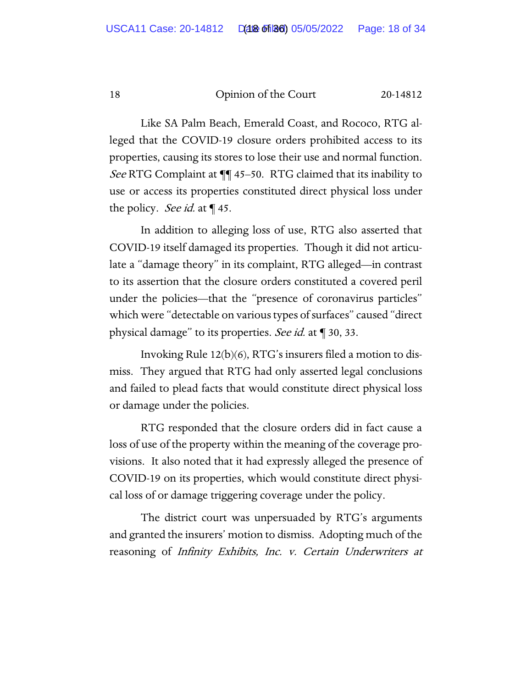Like SA Palm Beach, Emerald Coast, and Rococo, RTG alleged that the COVID-19 closure orders prohibited access to its properties, causing its stores to lose their use and normal function. See RTG Complaint at  $\P$  45–50. RTG claimed that its inability to use or access its properties constituted direct physical loss under the policy. *See id.* at  $\P$  45.

In addition to alleging loss of use, RTG also asserted that COVID-19 itself damaged its properties. Though it did not articulate a "damage theory" in its complaint, RTG alleged—in contrast to its assertion that the closure orders constituted a covered peril under the policies—that the "presence of coronavirus particles" which were "detectable on various types of surfaces" caused "direct physical damage" to its properties. See id. at ¶ 30, 33.

Invoking Rule 12(b)(6), RTG's insurers filed a motion to dismiss. They argued that RTG had only asserted legal conclusions and failed to plead facts that would constitute direct physical loss or damage under the policies.

RTG responded that the closure orders did in fact cause a loss of use of the property within the meaning of the coverage provisions. It also noted that it had expressly alleged the presence of COVID-19 on its properties, which would constitute direct physical loss of or damage triggering coverage under the policy.

The district court was unpersuaded by RTG's arguments and granted the insurers' motion to dismiss. Adopting much of the reasoning of Infinity Exhibits, Inc. v. Certain Underwriters at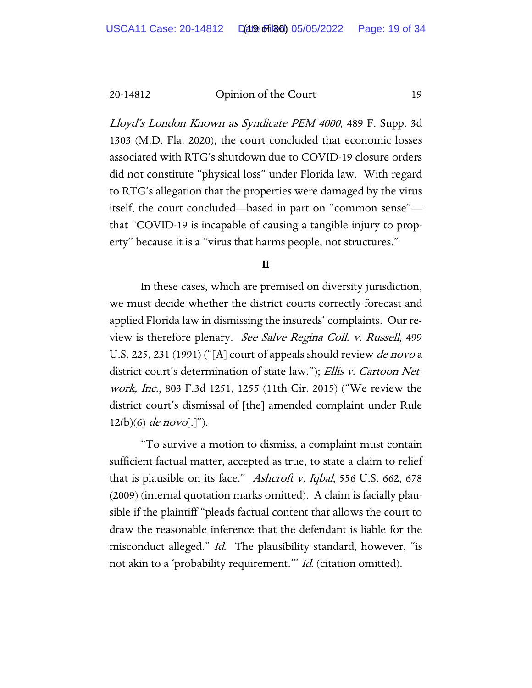Lloyd's London Known as Syndicate PEM 4000, 489 F. Supp. 3d 1303 (M.D. Fla. 2020), the court concluded that economic losses associated with RTG's shutdown due to COVID-19 closure orders did not constitute "physical loss" under Florida law. With regard to RTG's allegation that the properties were damaged by the virus itself, the court concluded—based in part on "common sense" that "COVID-19 is incapable of causing a tangible injury to property" because it is a "virus that harms people, not structures."

## II

In these cases, which are premised on diversity jurisdiction, we must decide whether the district courts correctly forecast and applied Florida law in dismissing the insureds' complaints. Our review is therefore plenary. See Salve Regina Coll. v. Russell, 499 U.S. 225, 231 (1991) ("[A] court of appeals should review *de novo* a district court's determination of state law."); Ellis v. Cartoon Network, Inc., 803 F.3d 1251, 1255 (11th Cir. 2015) ("We review the district court's dismissal of [the] amended complaint under Rule  $12(b)(6)$  de novo[.]").

"To survive a motion to dismiss, a complaint must contain sufficient factual matter, accepted as true, to state a claim to relief that is plausible on its face." Ashcroft v. Iqbal, 556 U.S. 662, 678 (2009) (internal quotation marks omitted). A claim is facially plausible if the plaintiff "pleads factual content that allows the court to draw the reasonable inference that the defendant is liable for the misconduct alleged." *Id.* The plausibility standard, however, "is not akin to a 'probability requirement." *Id.* (citation omitted).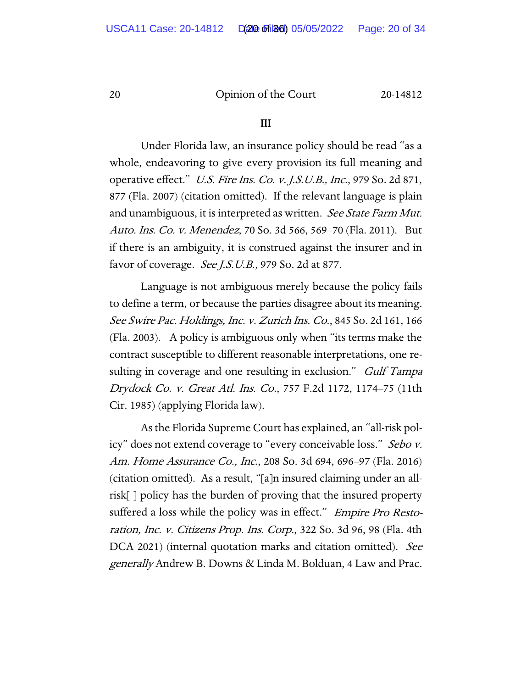#### III

Under Florida law, an insurance policy should be read "as a whole, endeavoring to give every provision its full meaning and operative effect." U.S. Fire Ins. Co. v. J.S.U.B., Inc., 979 So. 2d 871, 877 (Fla. 2007) (citation omitted). If the relevant language is plain and unambiguous, it is interpreted as written. See State Farm Mut. Auto. Ins. Co. v. Menendez, 70 So. 3d 566, 569–70 (Fla. 2011). But if there is an ambiguity, it is construed against the insurer and in favor of coverage. See J.S.U.B., 979 So. 2d at 877.

Language is not ambiguous merely because the policy fails to define a term, or because the parties disagree about its meaning. See Swire Pac. Holdings, Inc. v. Zurich Ins. Co., 845 So. 2d 161, 166 (Fla. 2003). A policy is ambiguous only when "its terms make the contract susceptible to different reasonable interpretations, one resulting in coverage and one resulting in exclusion." *Gulf Tampa* Drydock Co. v. Great Atl. Ins. Co., 757 F.2d 1172, 1174–75 (11th Cir. 1985) (applying Florida law).

As the Florida Supreme Court has explained, an "all-risk policy" does not extend coverage to "every conceivable loss." Sebo v. Am. Home Assurance Co., Inc., 208 So. 3d 694, 696–97 (Fla. 2016) (citation omitted). As a result, "[a]n insured claiming under an allrisk[ ] policy has the burden of proving that the insured property suffered a loss while the policy was in effect." *Empire Pro Resto*ration, Inc. v. Citizens Prop. Ins. Corp., 322 So. 3d 96, 98 (Fla. 4th DCA 2021) (internal quotation marks and citation omitted). See generally Andrew B. Downs & Linda M. Bolduan, 4 Law and Prac.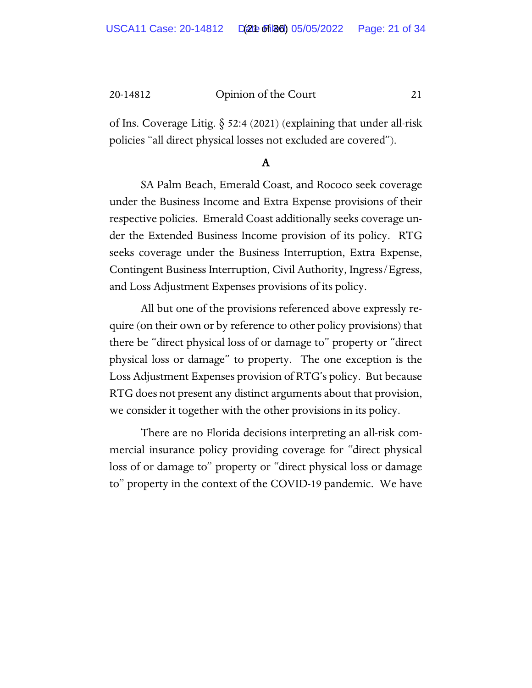of Ins. Coverage Litig. § 52:4 (2021) (explaining that under all-risk policies "all direct physical losses not excluded are covered").

# A

SA Palm Beach, Emerald Coast, and Rococo seek coverage under the Business Income and Extra Expense provisions of their respective policies. Emerald Coast additionally seeks coverage under the Extended Business Income provision of its policy. RTG seeks coverage under the Business Interruption, Extra Expense, Contingent Business Interruption, Civil Authority, Ingress/Egress, and Loss Adjustment Expenses provisions of its policy.

All but one of the provisions referenced above expressly require (on their own or by reference to other policy provisions) that there be "direct physical loss of or damage to" property or "direct physical loss or damage" to property. The one exception is the Loss Adjustment Expenses provision of RTG's policy. But because RTG does not present any distinct arguments about that provision, we consider it together with the other provisions in its policy.

There are no Florida decisions interpreting an all-risk commercial insurance policy providing coverage for "direct physical loss of or damage to" property or "direct physical loss or damage to" property in the context of the COVID-19 pandemic. We have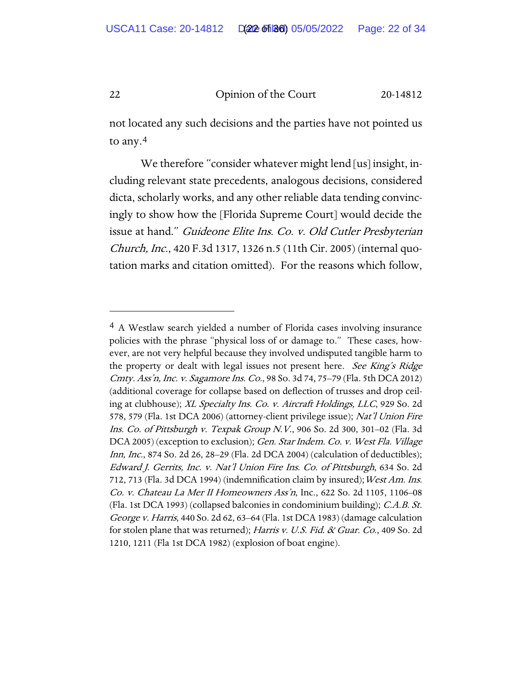not located any such decisions and the parties have not pointed us to any.[4](#page-26-0)

We therefore "consider whatever might lend [us] insight, including relevant state precedents, analogous decisions, considered dicta, scholarly works, and any other reliable data tending convincingly to show how the [Florida Supreme Court] would decide the issue at hand." Guideone Elite Ins. Co. v. Old Cutler Presbyterian Church, Inc., 420 F.3d 1317, 1326 n.5 (11th Cir. 2005) (internal quotation marks and citation omitted). For the reasons which follow,

<sup>4</sup> A Westlaw search yielded a number of Florida cases involving insurance policies with the phrase "physical loss of or damage to." These cases, however, are not very helpful because they involved undisputed tangible harm to the property or dealt with legal issues not present here. See King's Ridge Cmty. Ass'n, Inc. v. Sagamore Ins. Co., 98 So. 3d 74, 75–79 (Fla. 5th DCA 2012) (additional coverage for collapse based on deflection of trusses and drop ceiling at clubhouse); XL Specialty Ins. Co. v. Aircraft Holdings, LLC, 929 So. 2d 578, 579 (Fla. 1st DCA 2006) (attorney-client privilege issue); Nat'l Union Fire Ins. Co. of Pittsburgh v. Texpak Group N.V., 906 So. 2d 300, 301–02 (Fla. 3d DCA 2005) (exception to exclusion); *Gen. Star Indem. Co. v. West Fla. Village* Inn, Inc., 874 So. 2d 26, 28–29 (Fla. 2d DCA 2004) (calculation of deductibles); Edward J. Gerrits, Inc. v. Nat'l Union Fire Ins. Co. of Pittsburgh, 634 So. 2d 712, 713 (Fla. 3d DCA 1994) (indemnification claim by insured); West Am. Ins. Co. v. Chateau La Mer II Homeowners Ass'n, Inc., 622 So. 2d 1105, 1106–08 (Fla. 1st DCA 1993) (collapsed balconies in condominium building); *C.A.B. St.* George v. Harris, 440 So. 2d 62, 63–64 (Fla. 1st DCA 1983) (damage calculation for stolen plane that was returned); Harris v. U.S. Fid. & Guar. Co., 409 So. 2d 1210, 1211 (Fla 1st DCA 1982) (explosion of boat engine).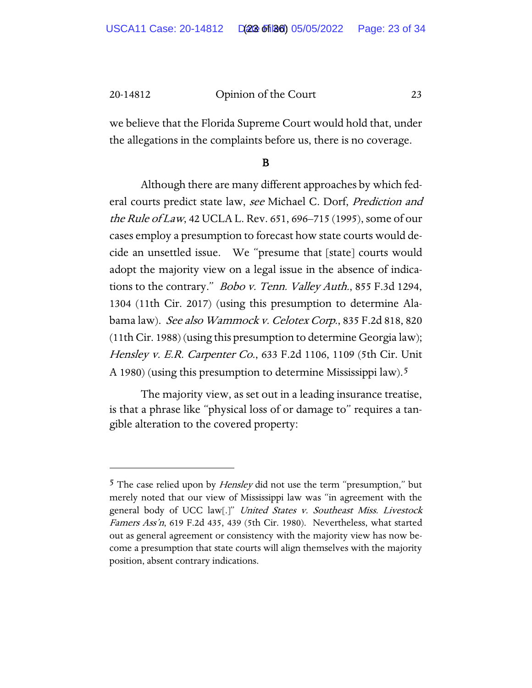we believe that the Florida Supreme Court would hold that, under the allegations in the complaints before us, there is no coverage.

# B

Although there are many different approaches by which federal courts predict state law, see Michael C. Dorf, Prediction and the Rule of Law, 42 UCLA L. Rev. 651, 696–715 (1995), some of our cases employ a presumption to forecast how state courts would decide an unsettled issue. We "presume that [state] courts would adopt the majority view on a legal issue in the absence of indications to the contrary." Bobo v. Tenn. Valley Auth., 855 F.3d 1294, 1304 (11th Cir. 2017) (using this presumption to determine Alabama law). See also Wammock v. Celotex Corp., 835 F.2d 818, 820 (11th Cir. 1988) (using this presumption to determine Georgia law); Hensley v. E.R. Carpenter Co., 633 F.2d 1106, 1109 (5th Cir. Unit A 1980) (using this presumption to determine Mississippi law).[5](#page-26-0)

The majority view, as set out in a leading insurance treatise, is that a phrase like "physical loss of or damage to" requires a tangible alteration to the covered property:

<sup>&</sup>lt;sup>5</sup> The case relied upon by *Hensley* did not use the term "presumption," but merely noted that our view of Mississippi law was "in agreement with the general body of UCC law[.]" United States v. Southeast Miss. Livestock Famers Ass'n, 619 F.2d 435, 439 (5th Cir. 1980). Nevertheless, what started out as general agreement or consistency with the majority view has now become a presumption that state courts will align themselves with the majority position, absent contrary indications.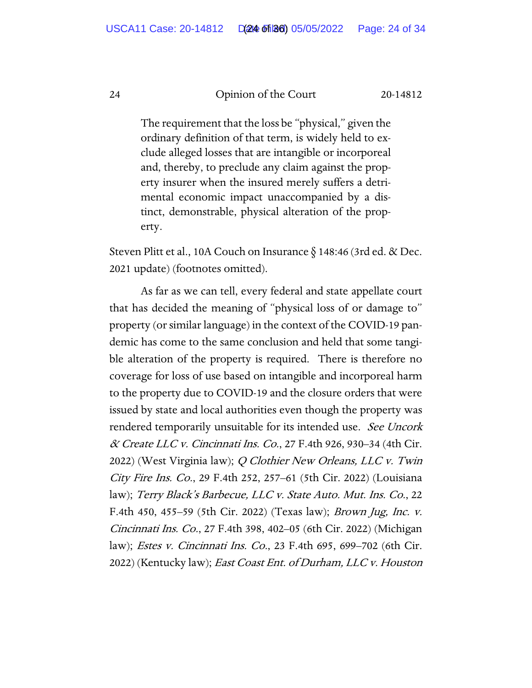The requirement that the loss be "physical," given the ordinary definition of that term, is widely held to exclude alleged losses that are intangible or incorporeal and, thereby, to preclude any claim against the property insurer when the insured merely suffers a detrimental economic impact unaccompanied by a distinct, demonstrable, physical alteration of the property.

Steven Plitt et al., 10A Couch on Insurance § 148:46 (3rd ed. & Dec. 2021 update) (footnotes omitted).

As far as we can tell, every federal and state appellate court that has decided the meaning of "physical loss of or damage to" property (or similar language) in the context of the COVID-19 pandemic has come to the same conclusion and held that some tangible alteration of the property is required. There is therefore no coverage for loss of use based on intangible and incorporeal harm to the property due to COVID-19 and the closure orders that were issued by state and local authorities even though the property was rendered temporarily unsuitable for its intended use. See Uncork  $\alpha$  Create LLC v. Cincinnati Ins. Co., 27 F.4th 926, 930–34 (4th Cir. 2022) (West Virginia law); Q Clothier New Orleans, LLC v. Twin City Fire Ins. Co., 29 F.4th 252, 257–61 (5th Cir. 2022) (Louisiana law); Terry Black's Barbecue, LLC v. State Auto. Mut. Ins. Co., 22 F.4th 450, 455–59 (5th Cir. 2022) (Texas law); Brown Jug, Inc. v. Cincinnati Ins. Co., 27 F.4th 398, 402–05 (6th Cir. 2022) (Michigan law); Estes v. Cincinnati Ins. Co., 23 F.4th 695, 699–702 (6th Cir. 2022) (Kentucky law); *East Coast Ent. of Durham, LLC v. Houston*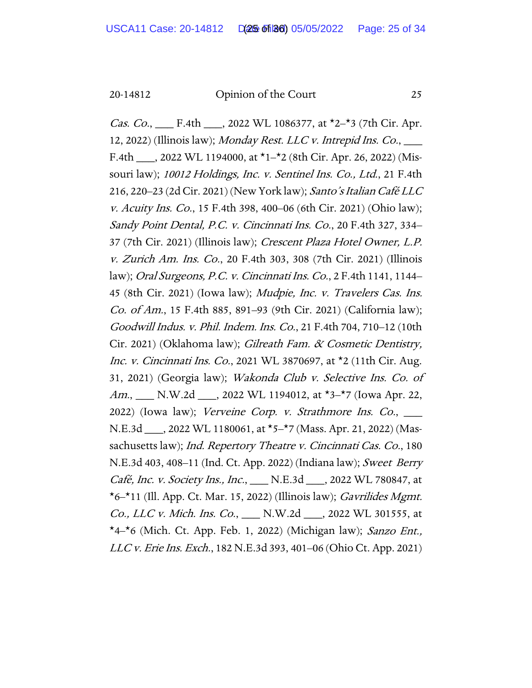*Cas. Co.*, \_\_\_\_ F.4th \_\_\_\_, 2022 WL 1086377, at  $\star$ 2<sup>- $\star$ </sup>3 (7th Cir. Apr. 12, 2022) (Illinois law); Monday Rest. LLC v. Intrepid Ins.  $Co$ ,  $\_\_$ F.4th \_\_\_, 2022 WL 1194000, at  $\star$ 1- $\star$ 2 (8th Cir. Apr. 26, 2022) (Missouri law); 10012 Holdings, Inc. v. Sentinel Ins. Co., Ltd., 21 F.4th 216, 220–23 (2d Cir. 2021) (New York law); Santo's Italian Café LLC v. Acuity Ins. Co., 15 F.4th 398, 400–06 (6th Cir. 2021) (Ohio law); Sandy Point Dental, P.C. v. Cincinnati Ins. Co., 20 F.4th 327, 334– 37 (7th Cir. 2021) (Illinois law); Crescent Plaza Hotel Owner, L.P. v. Zurich Am. Ins. Co., 20 F.4th 303, 308 (7th Cir. 2021) (Illinois law); Oral Surgeons, P.C. v. Cincinnati Ins. Co., 2 F.4th 1141, 1144– 45 (8th Cir. 2021) (Iowa law); Mudpie, Inc. v. Travelers Cas. Ins. Co. of Am., 15 F.4th 885, 891–93 (9th Cir. 2021) (California law); Goodwill Indus. v. Phil. Indem. Ins. Co., 21 F.4th 704, 710–12 (10th Cir. 2021) (Oklahoma law); Gilreath Fam. & Cosmetic Dentistry, Inc. v. Cincinnati Ins. Co., 2021 WL 3870697, at \*2 (11th Cir. Aug. 31, 2021) (Georgia law); Wakonda Club v. Selective Ins. Co. of Am., N.W.2d 3022 WL 1194012, at \*3–\*7 (lowa Apr. 22, 2022) (Iowa law); Verveine Corp. v. Strathmore Ins. Co., \_\_\_ N.E.3d \_\_\_, 2022 WL 1180061, at \*5–\*7 (Mass. Apr. 21, 2022) (Massachusetts law); Ind. Repertory Theatre v. Cincinnati Cas. Co., 180 N.E.3d 403, 408–11 (Ind. Ct. App. 2022) (Indiana law); Sweet Berry Café, Inc. v. Society Ins., Inc., \_\_\_ N.E.3d \_\_\_, 2022 WL 780847, at  $\star$ 6– $\star$ 11 (Ill. App. Ct. Mar. 15, 2022) (Illinois law); *Gavrilides Mgmt.* Co., LLC v. Mich. Ins. Co., \_\_\_ N.W.2d \_\_\_, 2022 WL 301555, at  $*4-*6$  (Mich. Ct. App. Feb. 1, 2022) (Michigan law); Sanzo Ent., LLC v. Erie Ins. Exch., 182 N.E.3d 393, 401–06 (Ohio Ct. App. 2021)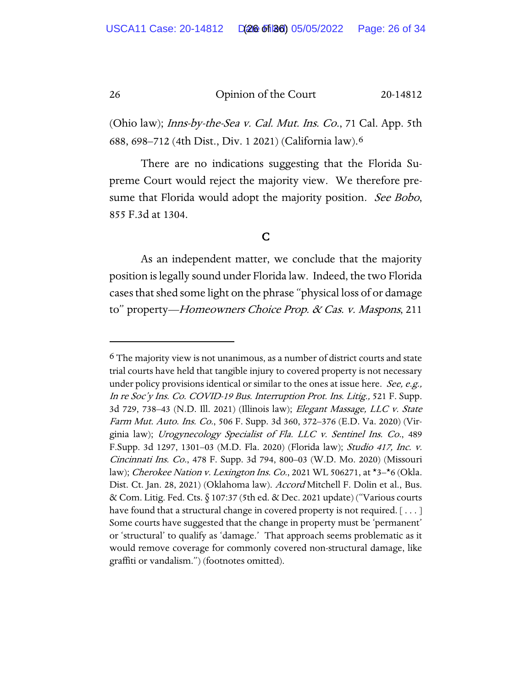(Ohio law); *Inns-by-the-Sea v. Cal. Mut. Ins. Co.*, 71 Cal. App. 5th 688, 698–712 (4th Dist., Div. 1 2021) (California law).[6](#page-26-0)

There are no indications suggesting that the Florida Supreme Court would reject the majority view. We therefore presume that Florida would adopt the majority position. See Bobo, 855 F.3d at 1304.

# C

As an independent matter, we conclude that the majority position is legally sound under Florida law. Indeed, the two Florida cases that shed some light on the phrase "physical loss of or damage to" property—Homeowners Choice Prop. & Cas. v. Maspons, 211

 $6$  The majority view is not unanimous, as a number of district courts and state trial courts have held that tangible injury to covered property is not necessary under policy provisions identical or similar to the ones at issue here. See, e.g., In re Soc'y Ins. Co. COVID-19 Bus. Interruption Prot. Ins. Litig., 521 F. Supp. 3d 729, 738–43 (N.D. Ill. 2021) (Illinois law); Elegant Massage, LLC v. State Farm Mut. Auto. Ins. Co., 506 F. Supp. 3d 360, 372–376 (E.D. Va. 2020) (Virginia law); Urogynecology Specialist of Fla. LLC v. Sentinel Ins. Co., 489 F.Supp. 3d 1297, 1301–03 (M.D. Fla. 2020) (Florida law); Studio 417, Inc. v. Cincinnati Ins. Co., 478 F. Supp. 3d 794, 800–03 (W.D. Mo. 2020) (Missouri law); Cherokee Nation v. Lexington Ins. Co., 2021 WL 506271, at \*3-\*6 (Okla. Dist. Ct. Jan. 28, 2021) (Oklahoma law). Accord Mitchell F. Dolin et al., Bus. & Com. Litig. Fed. Cts. § 107:37 (5th ed. & Dec. 2021 update) ("Various courts have found that a structural change in covered property is not required. [...] Some courts have suggested that the change in property must be 'permanent' or 'structural' to qualify as 'damage.' That approach seems problematic as it would remove coverage for commonly covered non-structural damage, like graffiti or vandalism.") (footnotes omitted).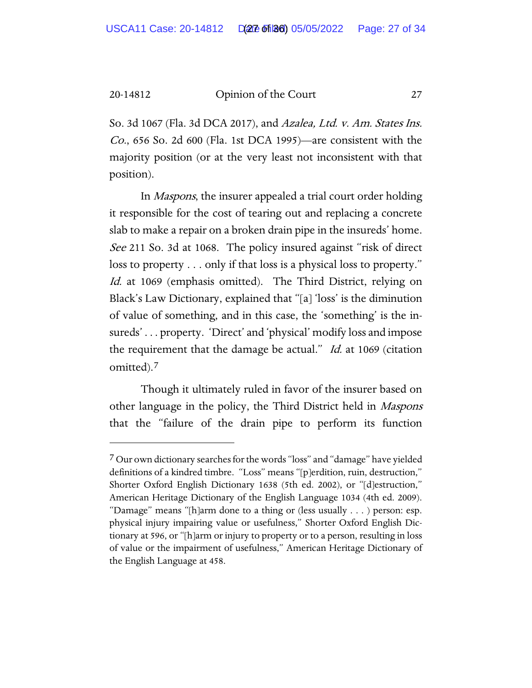So. 3d 1067 (Fla. 3d DCA 2017), and Azalea, Ltd. v. Am. States Ins. Co., 656 So. 2d 600 (Fla. 1st DCA 1995)—are consistent with the majority position (or at the very least not inconsistent with that position).

In Maspons, the insurer appealed a trial court order holding it responsible for the cost of tearing out and replacing a concrete slab to make a repair on a broken drain pipe in the insureds' home. See 211 So. 3d at 1068. The policy insured against "risk of direct loss to property . . . only if that loss is a physical loss to property." Id. at 1069 (emphasis omitted). The Third District, relying on Black's Law Dictionary, explained that "[a] 'loss' is the diminution of value of something, and in this case, the 'something' is the insureds' . . . property. 'Direct' and 'physical' modify loss and impose the requirement that the damage be actual." *Id.* at 1069 (citation omitted).[7](#page-26-0)

Though it ultimately ruled in favor of the insurer based on other language in the policy, the Third District held in Maspons that the "failure of the drain pipe to perform its function

<span id="page-26-0"></span><sup>&</sup>lt;sup>7</sup> Our own dictionary searches for the words "loss" and "damage" have yielded definitions of a kindred timbre. "Loss" means "[p]erdition, ruin, destruction," Shorter Oxford English Dictionary 1638 (5th ed. 2002), or "[d]estruction," American Heritage Dictionary of the English Language 1034 (4th ed. 2009). "Damage" means "[h]arm done to a thing or (less usually . . . ) person: esp. physical injury impairing value or usefulness," Shorter Oxford English Dictionary at 596, or "[h]arm or injury to property or to a person, resulting in loss of value or the impairment of usefulness," American Heritage Dictionary of the English Language at 458.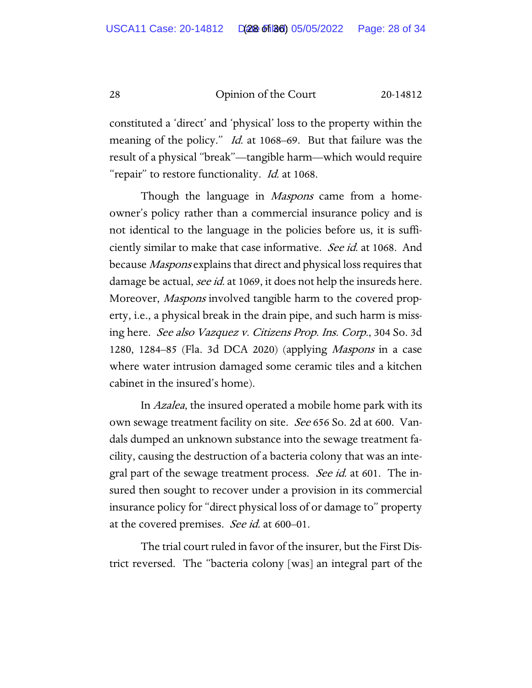constituted a 'direct' and 'physical' loss to the property within the meaning of the policy." *Id.* at 1068–69. But that failure was the result of a physical "break"—tangible harm—which would require "repair" to restore functionality. *Id.* at 1068.

Though the language in *Maspons* came from a homeowner's policy rather than a commercial insurance policy and is not identical to the language in the policies before us, it is sufficiently similar to make that case informative. See id. at 1068. And because Maspons explains that direct and physical loss requires that damage be actual, see id. at 1069, it does not help the insureds here. Moreover, *Maspons* involved tangible harm to the covered property, i.e., a physical break in the drain pipe, and such harm is missing here. See also Vazquez v. Citizens Prop. Ins. Corp., 304 So. 3d 1280, 1284–85 (Fla. 3d DCA 2020) (applying Maspons in a case where water intrusion damaged some ceramic tiles and a kitchen cabinet in the insured's home).

In Azalea, the insured operated a mobile home park with its own sewage treatment facility on site. *See* 656 So. 2d at 600. Vandals dumped an unknown substance into the sewage treatment facility, causing the destruction of a bacteria colony that was an integral part of the sewage treatment process. See id. at 601. The insured then sought to recover under a provision in its commercial insurance policy for "direct physical loss of or damage to" property at the covered premises. See id. at 600–01.

The trial court ruled in favor of the insurer, but the First District reversed. The "bacteria colony [was] an integral part of the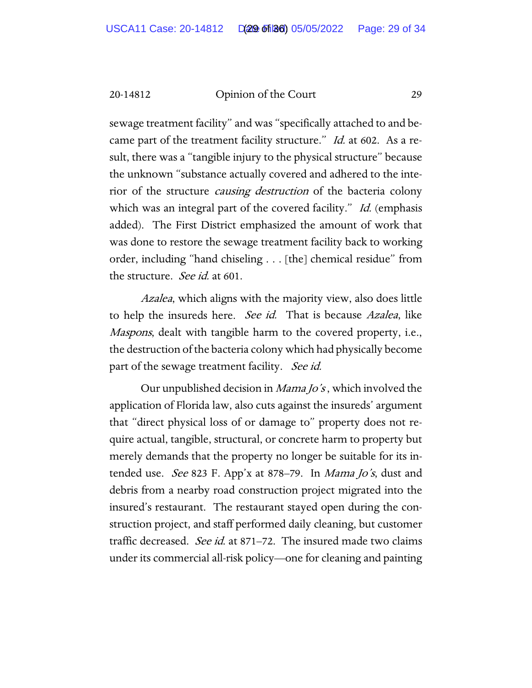sewage treatment facility" and was "specifically attached to and became part of the treatment facility structure." *Id.* at 602. As a result, there was a "tangible injury to the physical structure" because the unknown "substance actually covered and adhered to the interior of the structure causing destruction of the bacteria colony which was an integral part of the covered facility." Id. (emphasis added). The First District emphasized the amount of work that was done to restore the sewage treatment facility back to working order, including "hand chiseling . . . [the] chemical residue" from the structure. *See id.* at 601.

Azalea, which aligns with the majority view, also does little to help the insureds here. See id. That is because Azalea, like Maspons, dealt with tangible harm to the covered property, i.e., the destruction of the bacteria colony which had physically become part of the sewage treatment facility. See id.

Our unpublished decision in Mama Jo's , which involved the application of Florida law, also cuts against the insureds' argument that "direct physical loss of or damage to" property does not require actual, tangible, structural, or concrete harm to property but merely demands that the property no longer be suitable for its intended use. See 823 F. App'x at 878–79. In Mama Jo's, dust and debris from a nearby road construction project migrated into the insured's restaurant. The restaurant stayed open during the construction project, and staff performed daily cleaning, but customer traffic decreased. See id. at 871–72. The insured made two claims under its commercial all-risk policy—one for cleaning and painting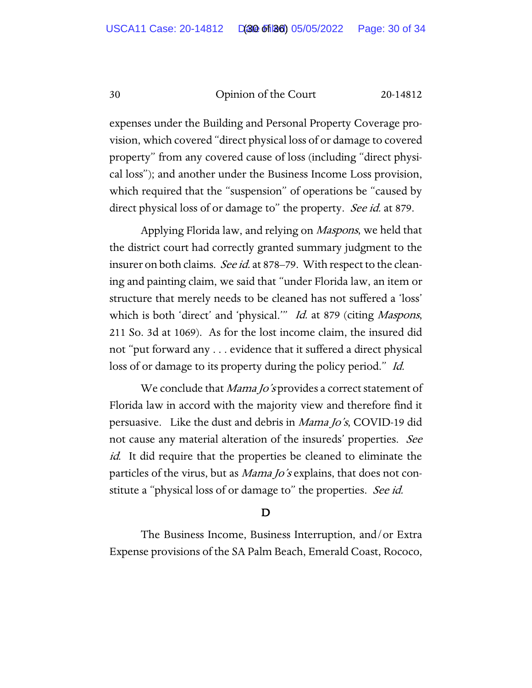expenses under the Building and Personal Property Coverage provision, which covered "direct physical loss of or damage to covered property" from any covered cause of loss (including "direct physical loss"); and another under the Business Income Loss provision, which required that the "suspension" of operations be "caused by direct physical loss of or damage to" the property. See id. at 879.

Applying Florida law, and relying on *Maspons*, we held that the district court had correctly granted summary judgment to the insurer on both claims. See id. at 878–79. With respect to the cleaning and painting claim, we said that "under Florida law, an item or structure that merely needs to be cleaned has not suffered a 'loss' which is both 'direct' and 'physical.'" Id. at 879 (citing Maspons, 211 So. 3d at 1069). As for the lost income claim, the insured did not "put forward any . . . evidence that it suffered a direct physical loss of or damage to its property during the policy period." Id.

We conclude that *Mama Jo's* provides a correct statement of Florida law in accord with the majority view and therefore find it persuasive. Like the dust and debris in Mama Jo's, COVID-19 did not cause any material alteration of the insureds' properties. See id. It did require that the properties be cleaned to eliminate the particles of the virus, but as *Mama Jo's* explains, that does not constitute a "physical loss of or damage to" the properties. See id.

# D

 The Business Income, Business Interruption, and/or Extra Expense provisions of the SA Palm Beach, Emerald Coast, Rococo,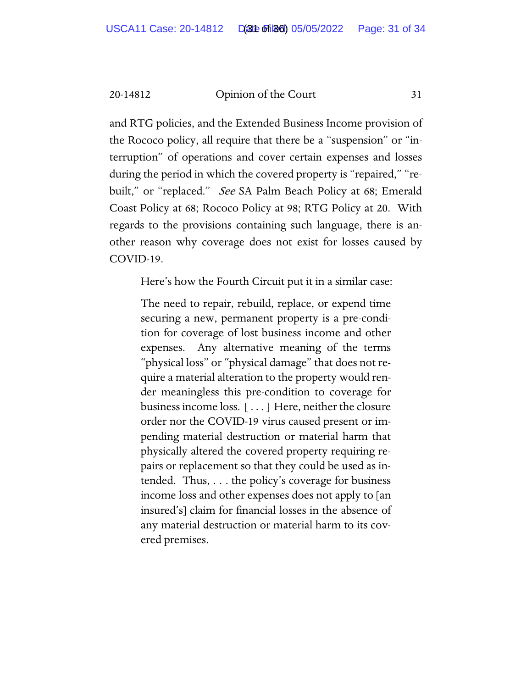and RTG policies, and the Extended Business Income provision of the Rococo policy, all require that there be a "suspension" or "interruption" of operations and cover certain expenses and losses during the period in which the covered property is "repaired," "rebuilt," or "replaced." *See* SA Palm Beach Policy at 68; Emerald Coast Policy at 68; Rococo Policy at 98; RTG Policy at 20. With regards to the provisions containing such language, there is another reason why coverage does not exist for losses caused by COVID-19.

Here's how the Fourth Circuit put it in a similar case:

The need to repair, rebuild, replace, or expend time securing a new, permanent property is a pre-condition for coverage of lost business income and other expenses. Any alternative meaning of the terms "physical loss" or "physical damage" that does not require a material alteration to the property would render meaningless this pre-condition to coverage for business income loss. [ . . . ] Here, neither the closure order nor the COVID-19 virus caused present or impending material destruction or material harm that physically altered the covered property requiring repairs or replacement so that they could be used as intended. Thus, . . . the policy's coverage for business income loss and other expenses does not apply to [an insured's] claim for financial losses in the absence of any material destruction or material harm to its covered premises.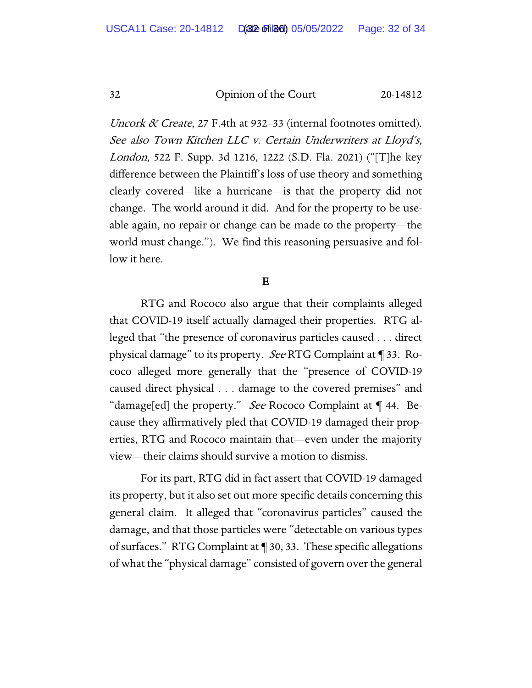Uncork  $\alpha$  Create, 27 F.4th at 932–33 (internal footnotes omitted). See also Town Kitchen LLC v. Certain Underwriters at Lloyd's, London, 522 F. Supp. 3d 1216, 1222 (S.D. Fla. 2021) ("[T]he key difference between the Plaintiff's loss of use theory and something clearly covered—like a hurricane—is that the property did not change. The world around it did. And for the property to be useable again, no repair or change can be made to the property—the world must change."). We find this reasoning persuasive and follow it here.

E

RTG and Rococo also argue that their complaints alleged that COVID-19 itself actually damaged their properties. RTG alleged that "the presence of coronavirus particles caused . . . direct physical damage" to its property. See RTG Complaint at ¶ 33. Rococo alleged more generally that the "presence of COVID-19 caused direct physical . . . damage to the covered premises" and "damage[ed] the property." *See* Rococo Complaint at  $\P$  44. Because they affirmatively pled that COVID-19 damaged their properties, RTG and Rococo maintain that—even under the majority view—their claims should survive a motion to dismiss.

For its part, RTG did in fact assert that COVID-19 damaged its property, but it also set out more specific details concerning this general claim. It alleged that "coronavirus particles" caused the damage, and that those particles were "detectable on various types of surfaces." RTG Complaint at ¶ 30, 33. These specific allegations of what the "physical damage" consisted of govern over the general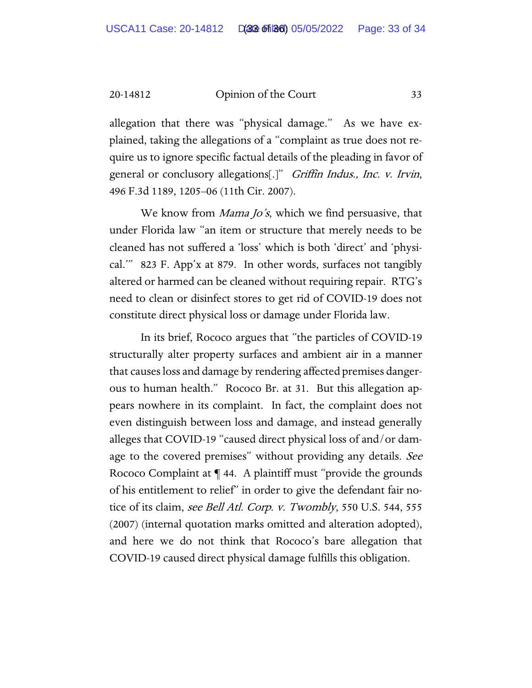allegation that there was "physical damage." As we have explained, taking the allegations of a "complaint as true does not require us to ignore specific factual details of the pleading in favor of general or conclusory allegations[.]" Griffin Indus., Inc. v. Irvin, 496 F.3d 1189, 1205–06 (11th Cir. 2007).

We know from *Mama Jo's*, which we find persuasive, that under Florida law "an item or structure that merely needs to be cleaned has not suffered a 'loss' which is both 'direct' and 'physical.'" 823 F. App'x at 879. In other words, surfaces not tangibly altered or harmed can be cleaned without requiring repair. RTG's need to clean or disinfect stores to get rid of COVID-19 does not constitute direct physical loss or damage under Florida law.

In its brief, Rococo argues that "the particles of COVID-19 structurally alter property surfaces and ambient air in a manner that causes loss and damage by rendering affected premises dangerous to human health." Rococo Br. at 31. But this allegation appears nowhere in its complaint. In fact, the complaint does not even distinguish between loss and damage, and instead generally alleges that COVID-19 "caused direct physical loss of and/or damage to the covered premises" without providing any details. See Rococo Complaint at ¶ 44. A plaintiff must "provide the grounds of his entitlement to relief" in order to give the defendant fair notice of its claim, see Bell Atl. Corp. v. Twombly, 550 U.S. 544, 555 (2007) (internal quotation marks omitted and alteration adopted), and here we do not think that Rococo's bare allegation that COVID-19 caused direct physical damage fulfills this obligation.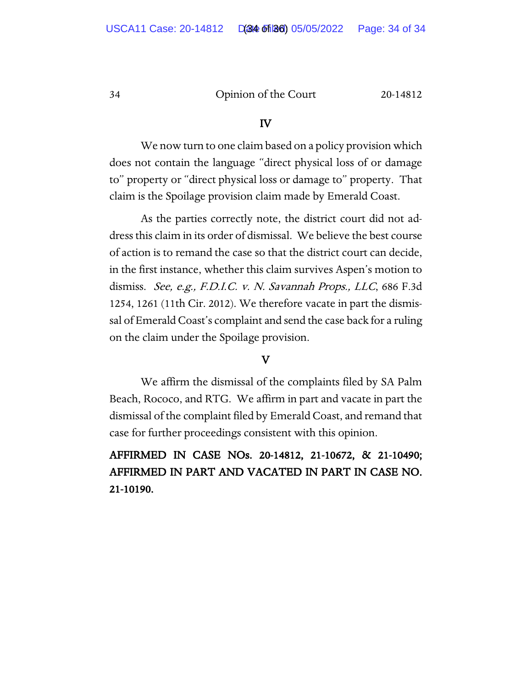#### IV

We now turn to one claim based on a policy provision which does not contain the language "direct physical loss of or damage to" property or "direct physical loss or damage to" property. That claim is the Spoilage provision claim made by Emerald Coast.

As the parties correctly note, the district court did not address this claim in its order of dismissal. We believe the best course of action is to remand the case so that the district court can decide, in the first instance, whether this claim survives Aspen's motion to dismiss. See, e.g., F.D.I.C. v. N. Savannah Props., LLC, 686 F.3d 1254, 1261 (11th Cir. 2012). We therefore vacate in part the dismissal of Emerald Coast's complaint and send the case back for a ruling on the claim under the Spoilage provision.

# V

We affirm the dismissal of the complaints filed by SA Palm Beach, Rococo, and RTG. We affirm in part and vacate in part the dismissal of the complaint filed by Emerald Coast, and remand that case for further proceedings consistent with this opinion.

# AFFIRMED IN CASE NOs. 20-14812, 21-10672, & 21-10490; AFFIRMED IN PART AND VACATED IN PART IN CASE NO. 21-10190.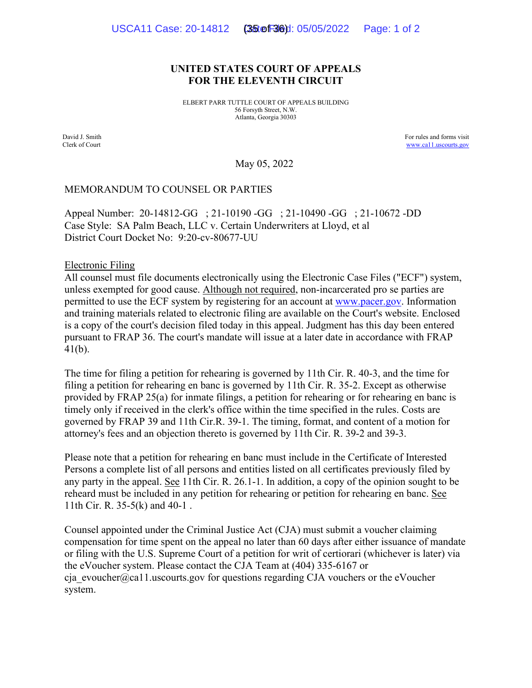#### **UNITED STATES COURT OF APPEALS FOR THE ELEVENTH CIRCUIT**

ELBERT PARR TUTTLE COURT OF APPEALS BUILDING 56 Forsyth Street, N.W. Atlanta, Georgia 30303

David J. Smith Clerk of Court For rules and forms visit [www.ca11.uscourts.gov](http://www.ca11.uscourts.gov/)

May 05, 2022

#### MEMORANDUM TO COUNSEL OR PARTIES

Appeal Number: 20-14812-GG ; 21-10190 -GG ; 21-10490 -GG ; 21-10672 -DD Case Style: SA Palm Beach, LLC v. Certain Underwriters at Lloyd, et al District Court Docket No: 9:20-cv-80677-UU

Electronic Filing

All counsel must file documents electronically using the Electronic Case Files ("ECF") system, unless exempted for good cause. Although not required, non-incarcerated pro se parties are permitted to use the ECF system by registering for an account at [www.pacer.gov.](https://pacer.uscourts.gov/) Information and training materials related to electronic filing are available on the Court's website. Enclosed is a copy of the court's decision filed today in this appeal. Judgment has this day been entered pursuant to FRAP 36. The court's mandate will issue at a later date in accordance with FRAP 41(b).

The time for filing a petition for rehearing is governed by 11th Cir. R. 40-3, and the time for filing a petition for rehearing en banc is governed by 11th Cir. R. 35-2. Except as otherwise provided by FRAP 25(a) for inmate filings, a petition for rehearing or for rehearing en banc is timely only if received in the clerk's office within the time specified in the rules. Costs are governed by FRAP 39 and 11th Cir.R. 39-1. The timing, format, and content of a motion for attorney's fees and an objection thereto is governed by 11th Cir. R. 39-2 and 39-3.

Please note that a petition for rehearing en banc must include in the Certificate of Interested Persons a complete list of all persons and entities listed on all certificates previously filed by any party in the appeal. See 11th Cir. R. 26.1-1. In addition, a copy of the opinion sought to be reheard must be included in any petition for rehearing or petition for rehearing en banc. See 11th Cir. R. 35-5(k) and 40-1 .

Counsel appointed under the Criminal Justice Act (CJA) must submit a voucher claiming compensation for time spent on the appeal no later than 60 days after either issuance of mandate or filing with the U.S. Supreme Court of a petition for writ of certiorari (whichever is later) via the eVoucher system. Please contact the CJA Team at (404) 335-6167 or cja\_evoucher@ca11.uscourts.gov for questions regarding CJA vouchers or the eVoucher system.